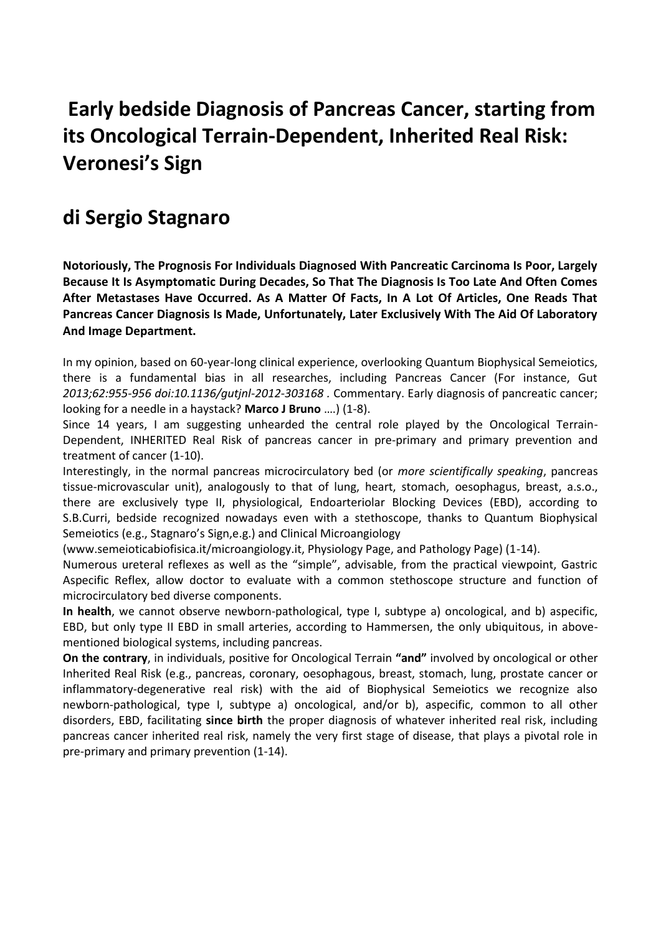## **Early bedside Diagnosis of Pancreas Cancer, starting from its Oncological Terrain-Dependent, Inherited Real Risk: Veronesi's Sign**

### **di Sergio Stagnaro**

**Notoriously, The Prognosis For Individuals Diagnosed With Pancreatic Carcinoma Is Poor, Largely Because It Is Asymptomatic During Decades, So That The Diagnosis Is Too Late And Often Comes After Metastases Have Occurred. As A Matter Of Facts, In A Lot Of Articles, One Reads That Pancreas Cancer Diagnosis Is Made, Unfortunately, Later Exclusively With The Aid Of Laboratory And Image Department.** 

In my opinion, based on 60-year-long clinical experience, overlooking Quantum Biophysical Semeiotics, there is a fundamental bias in all researches, including Pancreas Cancer (For instance, Gut *2013;62:955-956 doi:10.1136/gutjnl-2012-303168 .* Commentary. Early diagnosis of pancreatic cancer; looking for a needle in a haystack? **Marco J Bruno** ….) (1-8).

Since 14 years, I am suggesting unhearded the central role played by the Oncological Terrain-Dependent, INHERITED Real Risk of pancreas cancer in pre-primary and primary prevention and treatment of cancer (1-10).

Interestingly, in the normal pancreas microcirculatory bed (or *more scientifically speaking*, pancreas tissue-microvascular unit), analogously to that of lung, heart, stomach, oesophagus, breast, a.s.o., there are exclusively type II, physiological, Endoarteriolar Blocking Devices (EBD), according to S.B.Curri, bedside recognized nowadays even with a stethoscope, thanks to Quantum Biophysical Semeiotics (e.g., Stagnaro's Sign,e.g.) and Clinical Microangiology

(www.semeioticabiofisica.it/microangiology.it, Physiology Page, and Pathology Page) (1-14).

Numerous ureteral reflexes as well as the "simple", advisable, from the practical viewpoint, Gastric Aspecific Reflex, allow doctor to evaluate with a common stethoscope structure and function of microcirculatory bed diverse components.

**In health**, we cannot observe newborn-pathological, type I, subtype a) oncological, and b) aspecific, EBD, but only type II EBD in small arteries, according to Hammersen, the only ubiquitous, in abovementioned biological systems, including pancreas.

**On the contrary**, in individuals, positive for Oncological Terrain **"and"** involved by oncological or other Inherited Real Risk (e.g., pancreas, coronary, oesophagous, breast, stomach, lung, prostate cancer or inflammatory-degenerative real risk) with the aid of Biophysical Semeiotics we recognize also newborn-pathological, type I, subtype a) oncological, and/or b), aspecific, common to all other disorders, EBD, facilitating **since birth** the proper diagnosis of whatever inherited real risk, including pancreas cancer inherited real risk, namely the very first stage of disease, that plays a pivotal role in pre-primary and primary prevention (1-14).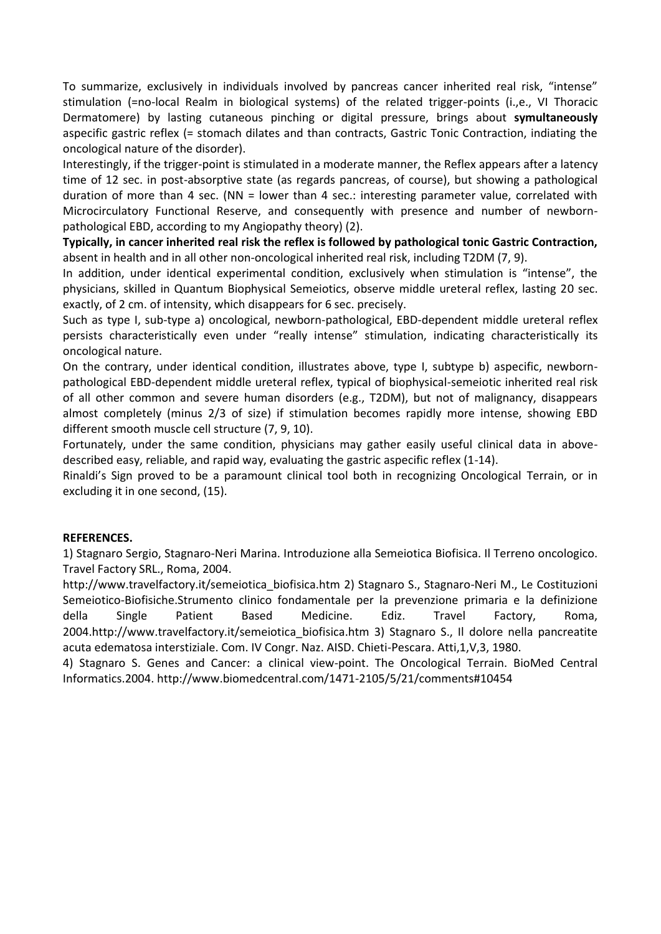To summarize, exclusively in individuals involved by pancreas cancer inherited real risk, "intense" stimulation (=no-local Realm in biological systems) of the related trigger-points (i.,e., VI Thoracic Dermatomere) by lasting cutaneous pinching or digital pressure, brings about **symultaneously**  aspecific gastric reflex (= stomach dilates and than contracts, Gastric Tonic Contraction, indiating the oncological nature of the disorder).

Interestingly, if the trigger-point is stimulated in a moderate manner, the Reflex appears after a latency time of 12 sec. in post-absorptive state (as regards pancreas, of course), but showing a pathological duration of more than 4 sec. (NN = lower than 4 sec.: interesting parameter value, correlated with Microcirculatory Functional Reserve, and consequently with presence and number of newbornpathological EBD, according to my Angiopathy theory) (2).

**Typically, in cancer inherited real risk the reflex is followed by pathological tonic Gastric Contraction,**  absent in health and in all other non-oncological inherited real risk, including T2DM (7, 9).

In addition, under identical experimental condition, exclusively when stimulation is "intense", the physicians, skilled in Quantum Biophysical Semeiotics, observe middle ureteral reflex, lasting 20 sec. exactly, of 2 cm. of intensity, which disappears for 6 sec. precisely.

Such as type I, sub-type a) oncological, newborn-pathological, EBD-dependent middle ureteral reflex persists characteristically even under "really intense" stimulation, indicating characteristically its oncological nature.

On the contrary, under identical condition, illustrates above, type I, subtype b) aspecific, newbornpathological EBD-dependent middle ureteral reflex, typical of biophysical-semeiotic inherited real risk of all other common and severe human disorders (e.g., T2DM), but not of malignancy, disappears almost completely (minus 2/3 of size) if stimulation becomes rapidly more intense, showing EBD different smooth muscle cell structure (7, 9, 10).

Fortunately, under the same condition, physicians may gather easily useful clinical data in abovedescribed easy, reliable, and rapid way, evaluating the gastric aspecific reflex (1-14).

Rinaldi's Sign proved to be a paramount clinical tool both in recognizing Oncological Terrain, or in excluding it in one second, (15).

#### **REFERENCES.**

1) Stagnaro Sergio, Stagnaro-Neri Marina. Introduzione alla Semeiotica Biofisica. Il Terreno oncologico. Travel Factory SRL., Roma, 2004.

http://www.travelfactory.it/semeiotica\_biofisica.htm 2) Stagnaro S., Stagnaro-Neri M., Le Costituzioni Semeiotico-Biofisiche.Strumento clinico fondamentale per la prevenzione primaria e la definizione della Single Patient Based Medicine. Ediz. Travel Factory, Roma, 2004.http://www.travelfactory.it/semeiotica\_biofisica.htm 3) Stagnaro S., Il dolore nella pancreatite acuta edematosa interstiziale. Com. IV Congr. Naz. AISD. Chieti-Pescara. Atti,1,V,3, 1980.

4) Stagnaro S. Genes and Cancer: a clinical view-point. The Oncological Terrain. BioMed Central Informatics.2004. http://www.biomedcentral.com/1471-2105/5/21/comments#10454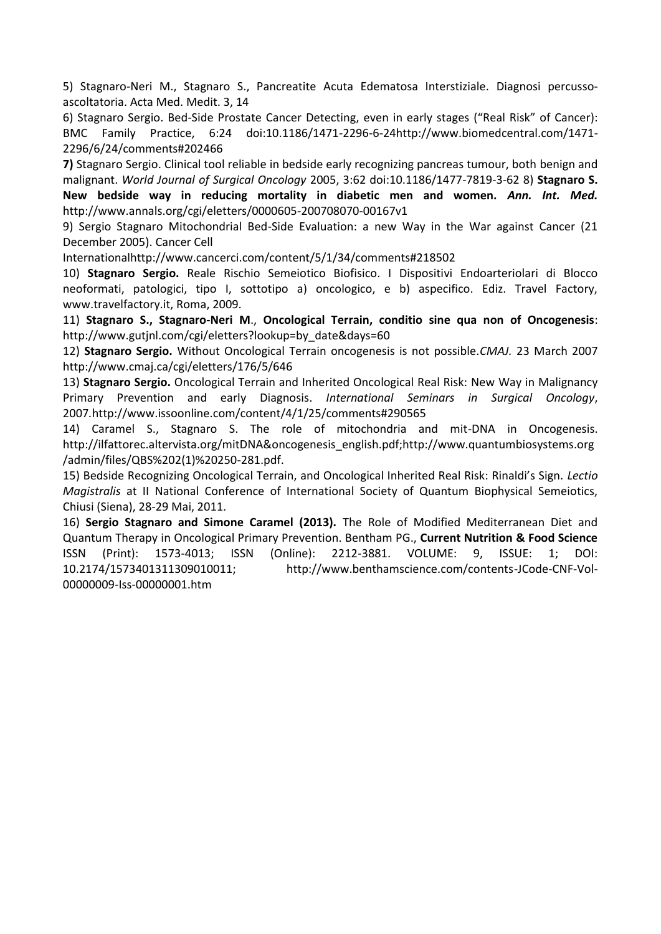5) Stagnaro-Neri M., Stagnaro S., Pancreatite Acuta Edematosa Interstiziale. Diagnosi percussoascoltatoria. Acta Med. Medit. 3, 14

6) Stagnaro Sergio. Bed-Side Prostate Cancer Detecting, even in early stages ("Real Risk" of Cancer): BMC Family Practice, 6:24 doi:10.1186/1471-2296-6-24http://www.biomedcentral.com/1471- 2296/6/24/comments#202466

**7)** Stagnaro Sergio. Clinical tool reliable in bedside early recognizing pancreas tumour, both benign and malignant. *World Journal of Surgical Oncology* 2005, 3:62 doi:10.1186/1477-7819-3-62 8) **Stagnaro S. New bedside way in reducing mortality in diabetic men and women.** *Ann. Int. Med.*  http://www.annals.org/cgi/eletters/0000605-200708070-00167v1

9) Sergio Stagnaro Mitochondrial Bed-Side Evaluation: a new Way in the War against Cancer (21 December 2005). Cancer Cell

Internationalhttp://www.cancerci.com/content/5/1/34/comments#218502

10) **Stagnaro Sergio.** Reale Rischio Semeiotico Biofisico. I Dispositivi Endoarteriolari di Blocco neoformati, patologici, tipo I, sottotipo a) oncologico, e b) aspecifico. Ediz. Travel Factory, www.travelfactory.it, Roma, 2009.

11) **Stagnaro S., Stagnaro-Neri M**., **Oncological Terrain, conditio sine qua non of Oncogenesis**: http://www.gutjnl.com/cgi/eletters?lookup=by\_date&days=60

12) **Stagnaro Sergio.** Without Oncological Terrain oncogenesis is not possible.*CMAJ.* 23 March 2007 http://www.cmaj.ca/cgi/eletters/176/5/646

13) **Stagnaro Sergio.** Oncological Terrain and Inherited Oncological Real Risk: New Way in Malignancy Primary Prevention and early Diagnosis. *International Seminars in Surgical Oncology*, 2007*.*http://www.issoonline.com/content/4/1/25/comments#290565

14) Caramel S., Stagnaro S. The role of mitochondria and mit-DNA in Oncogenesis. http://ilfattorec.altervista.org/mitDNA&oncogenesis\_english.pdf;http://www.quantumbiosystems.org /admin/files/QBS%202(1)%20250-281.pdf.

15) Bedside Recognizing Oncological Terrain, and Oncological Inherited Real Risk: Rinaldi's Sign. *Lectio Magistralis* at II National Conference of International Society of Quantum Biophysical Semeiotics, Chiusi (Siena), 28-29 Mai, 2011.

16) **Sergio Stagnaro and Simone Caramel (2013).** The Role of Modified Mediterranean Diet and Quantum Therapy in Oncological Primary Prevention. Bentham PG., **Current Nutrition & Food Science**  ISSN (Print): 1573-4013; ISSN (Online): 2212-3881. VOLUME: 9, ISSUE: 1; DOI: 10.2174/1573401311309010011; http://www.benthamscience.com/contents-JCode-CNF-Vol-00000009-Iss-00000001.htm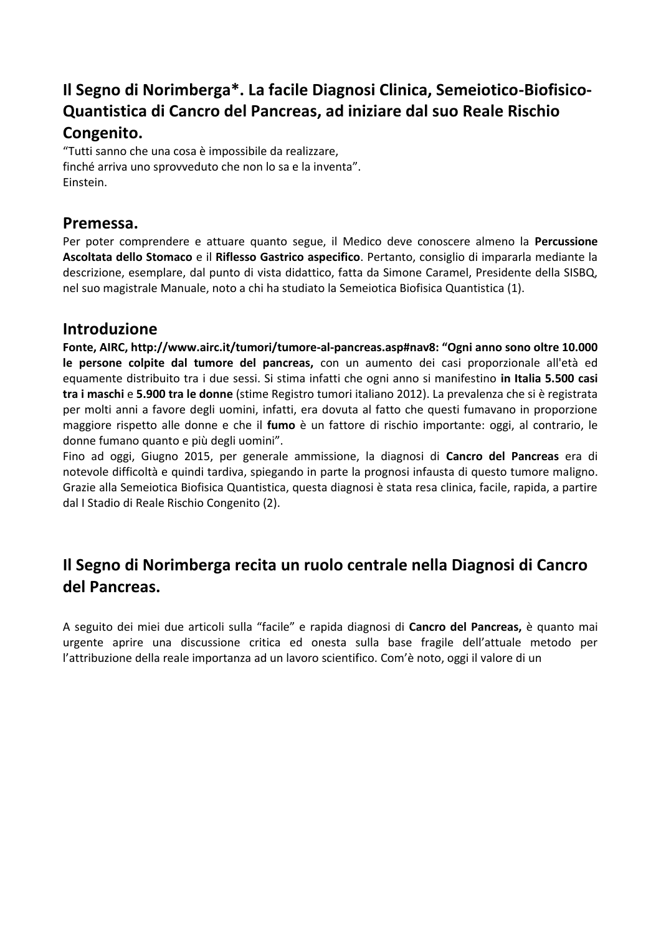### **Il Segno di Norimberga\*. La facile Diagnosi Clinica, Semeiotico-Biofisico-Quantistica di Cancro del Pancreas, ad iniziare dal suo Reale Rischio Congenito.**

"Tutti sanno che una cosa è impossibile da realizzare, finché arriva uno sprovveduto che non lo sa e la inventa". Einstein.

#### **Premessa.**

Per poter comprendere e attuare quanto segue, il Medico deve conoscere almeno la **Percussione Ascoltata dello Stomaco** e il **Riflesso Gastrico aspecifico**. Pertanto, consiglio di impararla mediante la descrizione, esemplare, dal punto di vista didattico, fatta da Simone Caramel, Presidente della SISBQ, nel suo magistrale Manuale, noto a chi ha studiato la Semeiotica Biofisica Quantistica (1).

#### **Introduzione**

**Fonte, AIRC, http://www.airc.it/tumori/tumore-al-pancreas.asp#nav8: "Ogni anno sono oltre 10.000 le persone colpite dal tumore del pancreas,** con un aumento dei casi proporzionale all'età ed equamente distribuito tra i due sessi. Si stima infatti che ogni anno si manifestino **in Italia 5.500 casi tra i maschi** e **5.900 tra le donne** (stime Registro tumori italiano 2012). La prevalenza che si è registrata per molti anni a favore degli uomini, infatti, era dovuta al fatto che questi fumavano in proporzione maggiore rispetto alle donne e che il **fumo** è un fattore di rischio importante: oggi, al contrario, le donne fumano quanto e più degli uomini".

Fino ad oggi, Giugno 2015, per generale ammissione, la diagnosi di **Cancro del Pancreas** era di notevole difficoltà e quindi tardiva, spiegando in parte la prognosi infausta di questo tumore maligno. Grazie alla Semeiotica Biofisica Quantistica, questa diagnosi è stata resa clinica, facile, rapida, a partire dal I Stadio di Reale Rischio Congenito (2).

### **Il Segno di Norimberga recita un ruolo centrale nella Diagnosi di Cancro del Pancreas.**

A seguito dei miei due articoli sulla "facile" e rapida diagnosi di **Cancro del Pancreas,** è quanto mai urgente aprire una discussione critica ed onesta sulla base fragile dell'attuale metodo per l'attribuzione della reale importanza ad un lavoro scientifico. Com'è noto, oggi il valore di un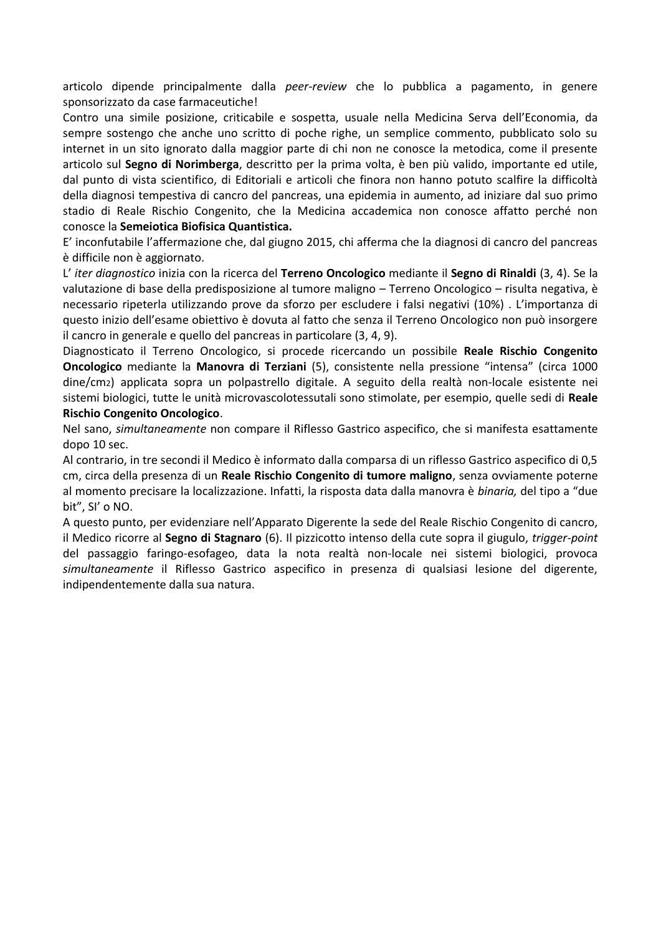articolo dipende principalmente dalla *peer-review* che lo pubblica a pagamento, in genere sponsorizzato da case farmaceutiche!

Contro una simile posizione, criticabile e sospetta, usuale nella Medicina Serva dell'Economia, da sempre sostengo che anche uno scritto di poche righe, un semplice commento, pubblicato solo su internet in un sito ignorato dalla maggior parte di chi non ne conosce la metodica, come il presente articolo sul **Segno di Norimberga**, descritto per la prima volta, è ben più valido, importante ed utile, dal punto di vista scientifico, di Editoriali e articoli che finora non hanno potuto scalfire la difficoltà della diagnosi tempestiva di cancro del pancreas, una epidemia in aumento, ad iniziare dal suo primo stadio di Reale Rischio Congenito, che la Medicina accademica non conosce affatto perché non conosce la **Semeiotica Biofisica Quantistica.** 

E' inconfutabile l'affermazione che, dal giugno 2015, chi afferma che la diagnosi di cancro del pancreas è difficile non è aggiornato.

L' *iter diagnostico* inizia con la ricerca del **Terreno Oncologico** mediante il **Segno di Rinaldi** (3, 4). Se la valutazione di base della predisposizione al tumore maligno – Terreno Oncologico – risulta negativa, è necessario ripeterla utilizzando prove da sforzo per escludere i falsi negativi (10%) . L'importanza di questo inizio dell'esame obiettivo è dovuta al fatto che senza il Terreno Oncologico non può insorgere il cancro in generale e quello del pancreas in particolare (3, 4, 9).

Diagnosticato il Terreno Oncologico, si procede ricercando un possibile **Reale Rischio Congenito Oncologico** mediante la **Manovra di Terziani** (5), consistente nella pressione "intensa" (circa 1000 dine/cm2) applicata sopra un polpastrello digitale. A seguito della realtà non-locale esistente nei sistemi biologici, tutte le unità microvascolotessutali sono stimolate, per esempio, quelle sedi di **Reale Rischio Congenito Oncologico**.

Nel sano, *simultaneamente* non compare il Riflesso Gastrico aspecifico, che si manifesta esattamente dopo 10 sec.

Al contrario, in tre secondi il Medico è informato dalla comparsa di un riflesso Gastrico aspecifico di 0,5 cm, circa della presenza di un **Reale Rischio Congenito di tumore maligno**, senza ovviamente poterne al momento precisare la localizzazione. Infatti, la risposta data dalla manovra è *binaria,* del tipo a "due bit", SI' o NO.

A questo punto, per evidenziare nell'Apparato Digerente la sede del Reale Rischio Congenito di cancro, il Medico ricorre al **Segno di Stagnaro** (6). Il pizzicotto intenso della cute sopra il giugulo, *trigger-point*  del passaggio faringo-esofageo, data la nota realtà non-locale nei sistemi biologici, provoca *simultaneamente* il Riflesso Gastrico aspecifico in presenza di qualsiasi lesione del digerente, indipendentemente dalla sua natura.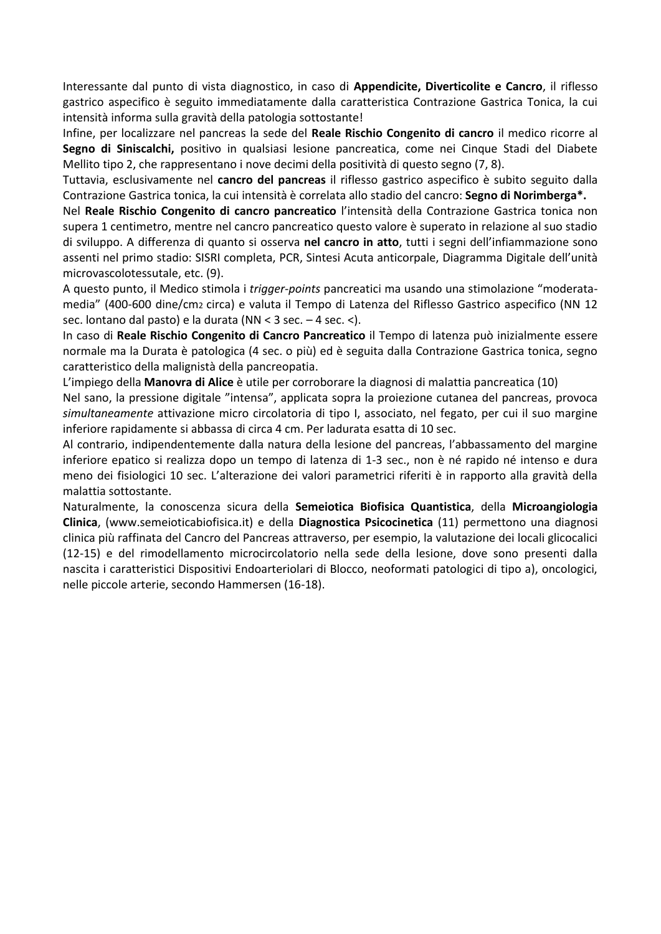Interessante dal punto di vista diagnostico, in caso di **Appendicite, Diverticolite e Cancro**, il riflesso gastrico aspecifico è seguito immediatamente dalla caratteristica Contrazione Gastrica Tonica, la cui intensità informa sulla gravità della patologia sottostante!

Infine, per localizzare nel pancreas la sede del **Reale Rischio Congenito di cancro** il medico ricorre al **Segno di Siniscalchi,** positivo in qualsiasi lesione pancreatica, come nei Cinque Stadi del Diabete Mellito tipo 2, che rappresentano i nove decimi della positività di questo segno (7, 8).

Tuttavia, esclusivamente nel **cancro del pancreas** il riflesso gastrico aspecifico è subito seguito dalla Contrazione Gastrica tonica, la cui intensità è correlata allo stadio del cancro: **Segno di Norimberga\*.** 

Nel **Reale Rischio Congenito di cancro pancreatico** l'intensità della Contrazione Gastrica tonica non supera 1 centimetro, mentre nel cancro pancreatico questo valore è superato in relazione al suo stadio di sviluppo. A differenza di quanto si osserva **nel cancro in atto**, tutti i segni dell'infiammazione sono assenti nel primo stadio: SISRI completa, PCR, Sintesi Acuta anticorpale, Diagramma Digitale dell'unità microvascolotessutale, etc. (9).

A questo punto, il Medico stimola i *trigger-points* pancreatici ma usando una stimolazione "moderatamedia" (400-600 dine/cm2 circa) e valuta il Tempo di Latenza del Riflesso Gastrico aspecifico (NN 12 sec. lontano dal pasto) e la durata (NN < 3 sec. – 4 sec. <).

In caso di **Reale Rischio Congenito di Cancro Pancreatico** il Tempo di latenza può inizialmente essere normale ma la Durata è patologica (4 sec. o più) ed è seguita dalla Contrazione Gastrica tonica, segno caratteristico della malignistà della pancreopatia.

L'impiego della **Manovra di Alice** è utile per corroborare la diagnosi di malattia pancreatica (10)

Nel sano, la pressione digitale "intensa", applicata sopra la proiezione cutanea del pancreas, provoca *simultaneamente* attivazione micro circolatoria di tipo I, associato, nel fegato, per cui il suo margine inferiore rapidamente si abbassa di circa 4 cm. Per ladurata esatta di 10 sec.

Al contrario, indipendentemente dalla natura della lesione del pancreas, l'abbassamento del margine inferiore epatico si realizza dopo un tempo di latenza di 1-3 sec., non è né rapido né intenso e dura meno dei fisiologici 10 sec. L'alterazione dei valori parametrici riferiti è in rapporto alla gravità della malattia sottostante.

Naturalmente, la conoscenza sicura della **Semeiotica Biofisica Quantistica**, della **Microangiologia Clinica**, (www.semeioticabiofisica.it) e della **Diagnostica Psicocinetica** (11) permettono una diagnosi clinica più raffinata del Cancro del Pancreas attraverso, per esempio, la valutazione dei locali glicocalici (12-15) e del rimodellamento microcircolatorio nella sede della lesione, dove sono presenti dalla nascita i caratteristici Dispositivi Endoarteriolari di Blocco, neoformati patologici di tipo a), oncologici, nelle piccole arterie, secondo Hammersen (16-18).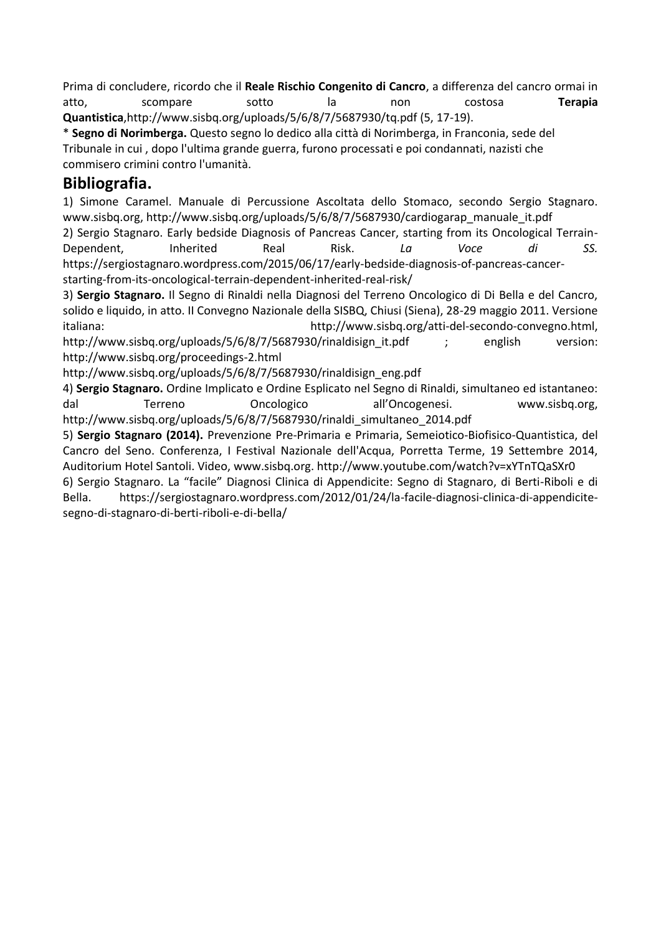Prima di concludere, ricordo che il **Reale Rischio Congenito di Cancro**, a differenza del cancro ormai in atto, scompare sotto la non costosa **Terapia Quantistica**,http://www.sisbq.org/uploads/5/6/8/7/5687930/tq.pdf (5, 17-19).

\* **Segno di Norimberga.** Questo segno lo dedico alla città di Norimberga, in Franconia, sede del Tribunale in cui , dopo l'ultima grande guerra, furono processati e poi condannati, nazisti che commisero crimini contro l'umanità.

#### **Bibliografia.**

1) Simone Caramel. Manuale di Percussione Ascoltata dello Stomaco, secondo Sergio Stagnaro. www.sisbq.org, http://www.sisbq.org/uploads/5/6/8/7/5687930/cardiogarap\_manuale\_it.pdf

2) Sergio Stagnaro. Early bedside Diagnosis of Pancreas Cancer, starting from its Oncological Terrain-Dependent, Inherited Real Risk. *La Voce di SS.*  https://sergiostagnaro.wordpress.com/2015/06/17/early-bedside-diagnosis-of-pancreas-cancerstarting-from-its-oncological-terrain-dependent-inherited-real-risk/

3) **Sergio Stagnaro.** Il Segno di Rinaldi nella Diagnosi del Terreno Oncologico di Di Bella e del Cancro, solido e liquido, in atto. II Convegno Nazionale della SISBQ, Chiusi (Siena), 28-29 maggio 2011. Versione italiana: http://www.sisbq.org/atti-del-secondo-convegno.html,

http://www.sisbq.org/uploads/5/6/8/7/5687930/rinaldisign it.pdf ; english version: http://www.sisbq.org/proceedings-2.html

http://www.sisbq.org/uploads/5/6/8/7/5687930/rinaldisign\_eng.pdf

4) **Sergio Stagnaro.** Ordine Implicato e Ordine Esplicato nel Segno di Rinaldi, simultaneo ed istantaneo: dal Terreno Oncologico all'Oncogenesi. www.sisbq.org, http://www.sisbq.org/uploads/5/6/8/7/5687930/rinaldi\_simultaneo\_2014.pdf

5) **Sergio Stagnaro (2014).** Prevenzione Pre-Primaria e Primaria, Semeiotico-Biofisico-Quantistica, del Cancro del Seno. Conferenza, I Festival Nazionale dell'Acqua, Porretta Terme, 19 Settembre 2014, Auditorium Hotel Santoli. Video, www.sisbq.org. http://www.youtube.com/watch?v=xYTnTQaSXr0

6) Sergio Stagnaro. La "facile" Diagnosi Clinica di Appendicite: Segno di Stagnaro, di Berti-Riboli e di Bella. https://sergiostagnaro.wordpress.com/2012/01/24/la-facile-diagnosi-clinica-di-appendicitesegno-di-stagnaro-di-berti-riboli-e-di-bella/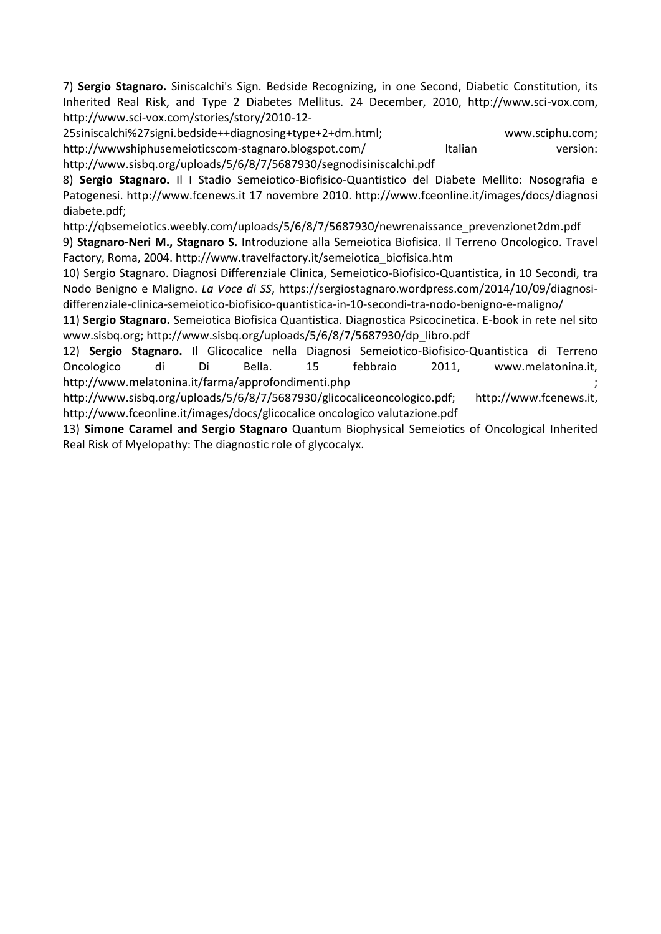7) **Sergio Stagnaro.** Siniscalchi's Sign. Bedside Recognizing, in one Second, Diabetic Constitution, its Inherited Real Risk, and Type 2 Diabetes Mellitus. 24 December, 2010, http://www.sci-vox.com, http://www.sci-vox.com/stories/story/2010-12-

25siniscalchi%27signi.bedside++diagnosing+type+2+dm.html; www.sciphu.com; http://wwwshiphusemeioticscom-stagnaro.blogspot.com/ Italian version: http://www.sisbq.org/uploads/5/6/8/7/5687930/segnodisiniscalchi.pdf

8) **Sergio Stagnaro.** Il I Stadio Semeiotico-Biofisico-Quantistico del Diabete Mellito: Nosografia e Patogenesi. http://www.fcenews.it 17 novembre 2010. http://www.fceonline.it/images/docs/diagnosi diabete.pdf;

http://qbsemeiotics.weebly.com/uploads/5/6/8/7/5687930/newrenaissance\_prevenzionet2dm.pdf

9) **Stagnaro-Neri M., Stagnaro S.** Introduzione alla Semeiotica Biofisica. Il Terreno Oncologico. Travel Factory, Roma, 2004. http://www.travelfactory.it/semeiotica\_biofisica.htm

10) Sergio Stagnaro. Diagnosi Differenziale Clinica, Semeiotico-Biofisico-Quantistica, in 10 Secondi, tra Nodo Benigno e Maligno. *La Voce di SS*, https://sergiostagnaro.wordpress.com/2014/10/09/diagnosidifferenziale-clinica-semeiotico-biofisico-quantistica-in-10-secondi-tra-nodo-benigno-e-maligno/

11) **Sergio Stagnaro.** Semeiotica Biofisica Quantistica. Diagnostica Psicocinetica. E-book in rete nel sito www.sisbq.org; http://www.sisbq.org/uploads/5/6/8/7/5687930/dp\_libro.pdf

12) **Sergio Stagnaro.** Il Glicocalice nella Diagnosi Semeiotico-Biofisico-Quantistica di Terreno Oncologico di Di Bella. 15 febbraio 2011, www.melatonina.it, http://www.melatonina.it/farma/approfondimenti.php ;

http://www.sisbq.org/uploads/5/6/8/7/5687930/glicocaliceoncologico.pdf; http://www.fcenews.it, http://www.fceonline.it/images/docs/glicocalice oncologico valutazione.pdf

13) **Simone Caramel and Sergio Stagnaro** Quantum Biophysical Semeiotics of Oncological Inherited Real Risk of Myelopathy: The diagnostic role of glycocalyx.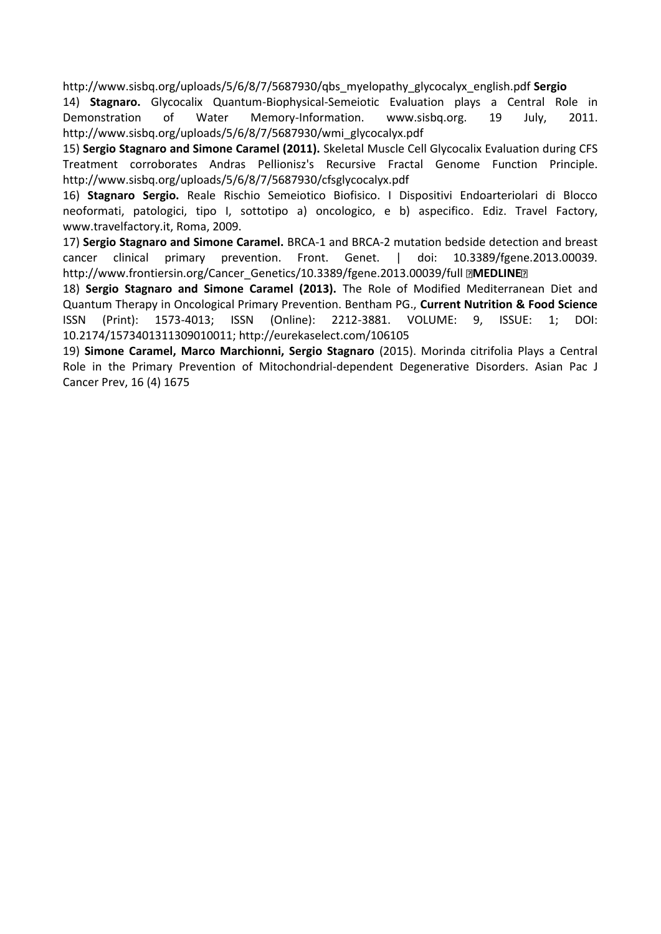http://www.sisbq.org/uploads/5/6/8/7/5687930/qbs\_myelopathy\_glycocalyx\_english.pdf **Sergio** 

14) **Stagnaro.** Glycocalix Quantum-Biophysical-Semeiotic Evaluation plays a Central Role in Demonstration of Water Memory-Information. www.sisbq.org. 19 July, 2011. http://www.sisbq.org/uploads/5/6/8/7/5687930/wmi\_glycocalyx.pdf

15) **Sergio Stagnaro and Simone Caramel (2011).** Skeletal Muscle Cell Glycocalix Evaluation during CFS Treatment corroborates Andras Pellionisz's Recursive Fractal Genome Function Principle. http://www.sisbq.org/uploads/5/6/8/7/5687930/cfsglycocalyx.pdf

16) **Stagnaro Sergio.** Reale Rischio Semeiotico Biofisico. I Dispositivi Endoarteriolari di Blocco neoformati, patologici, tipo I, sottotipo a) oncologico, e b) aspecifico. Ediz. Travel Factory, www.travelfactory.it, Roma, 2009.

17) **Sergio Stagnaro and Simone Caramel.** BRCA-1 and BRCA-2 mutation bedside detection and breast cancer clinical primary prevention. Front. Genet. | doi: 10.3389/fgene.2013.00039. http://www.frontiersin.org/Cancer\_Genetics/10.3389/fgene.2013.00039/full **MEDLINE** 

18) **Sergio Stagnaro and Simone Caramel (2013).** The Role of Modified Mediterranean Diet and Quantum Therapy in Oncological Primary Prevention. Bentham PG., **Current Nutrition & Food Science**  ISSN (Print): 1573-4013; ISSN (Online): 2212-3881. VOLUME: 9, ISSUE: 1; DOI: 10.2174/1573401311309010011; http://eurekaselect.com/106105

19) **Simone Caramel, Marco Marchionni, Sergio Stagnaro** (2015). Morinda citrifolia Plays a Central Role in the Primary Prevention of Mitochondrial-dependent Degenerative Disorders. Asian Pac J Cancer Prev, 16 (4) 1675